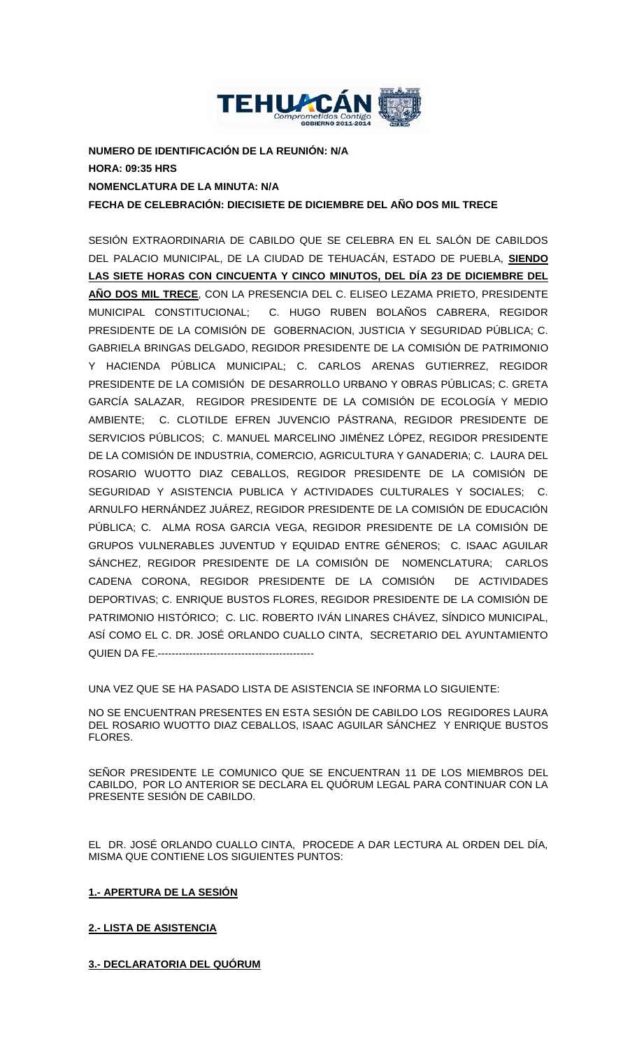

**NUMERO DE IDENTIFICACIÓN DE LA REUNIÓN: N/A HORA: 09:35 HRS NOMENCLATURA DE LA MINUTA: N/A FECHA DE CELEBRACIÓN: DIECISIETE DE DICIEMBRE DEL AÑO DOS MIL TRECE**

SESIÓN EXTRAORDINARIA DE CABILDO QUE SE CELEBRA EN EL SALÓN DE CABILDOS DEL PALACIO MUNICIPAL, DE LA CIUDAD DE TEHUACÁN, ESTADO DE PUEBLA, **SIENDO LAS SIETE HORAS CON CINCUENTA Y CINCO MINUTOS, DEL DÍA 23 DE DICIEMBRE DEL AÑO DOS MIL TRECE**, CON LA PRESENCIA DEL C. ELISEO LEZAMA PRIETO, PRESIDENTE MUNICIPAL CONSTITUCIONAL; C. HUGO RUBEN BOLAÑOS CABRERA, REGIDOR PRESIDENTE DE LA COMISIÓN DE GOBERNACION, JUSTICIA Y SEGURIDAD PÚBLICA; C. GABRIELA BRINGAS DELGADO, REGIDOR PRESIDENTE DE LA COMISIÓN DE PATRIMONIO Y HACIENDA PÚBLICA MUNICIPAL; C. CARLOS ARENAS GUTIERREZ, REGIDOR PRESIDENTE DE LA COMISIÓN DE DESARROLLO URBANO Y OBRAS PÚBLICAS; C. GRETA GARCÍA SALAZAR, REGIDOR PRESIDENTE DE LA COMISIÓN DE ECOLOGÍA Y MEDIO AMBIENTE; C. CLOTILDE EFREN JUVENCIO PÁSTRANA, REGIDOR PRESIDENTE DE SERVICIOS PÚBLICOS; C. MANUEL MARCELINO JIMÉNEZ LÓPEZ, REGIDOR PRESIDENTE DE LA COMISIÓN DE INDUSTRIA, COMERCIO, AGRICULTURA Y GANADERIA; C. LAURA DEL ROSARIO WUOTTO DIAZ CEBALLOS, REGIDOR PRESIDENTE DE LA COMISIÓN DE SEGURIDAD Y ASISTENCIA PUBLICA Y ACTIVIDADES CULTURALES Y SOCIALES; C. ARNULFO HERNÁNDEZ JUÁREZ, REGIDOR PRESIDENTE DE LA COMISIÓN DE EDUCACIÓN PÚBLICA; C. ALMA ROSA GARCIA VEGA, REGIDOR PRESIDENTE DE LA COMISIÓN DE GRUPOS VULNERABLES JUVENTUD Y EQUIDAD ENTRE GÉNEROS; C. ISAAC AGUILAR SÁNCHEZ, REGIDOR PRESIDENTE DE LA COMISIÓN DE NOMENCLATURA; CARLOS CADENA CORONA, REGIDOR PRESIDENTE DE LA COMISIÓN DE ACTIVIDADES DEPORTIVAS; C. ENRIQUE BUSTOS FLORES, REGIDOR PRESIDENTE DE LA COMISIÓN DE PATRIMONIO HISTÓRICO; C. LIC. ROBERTO IVÁN LINARES CHÁVEZ, SÍNDICO MUNICIPAL, ASÍ COMO EL C. DR. JOSÉ ORLANDO CUALLO CINTA, SECRETARIO DEL AYUNTAMIENTO QUIEN DA FE.---------------------------------------------

UNA VEZ QUE SE HA PASADO LISTA DE ASISTENCIA SE INFORMA LO SIGUIENTE:

NO SE ENCUENTRAN PRESENTES EN ESTA SESIÓN DE CABILDO LOS REGIDORES LAURA DEL ROSARIO WUOTTO DIAZ CEBALLOS, ISAAC AGUILAR SÁNCHEZ Y ENRIQUE BUSTOS FLORES.

SEÑOR PRESIDENTE LE COMUNICO QUE SE ENCUENTRAN 11 DE LOS MIEMBROS DEL CABILDO, POR LO ANTERIOR SE DECLARA EL QUÓRUM LEGAL PARA CONTINUAR CON LA PRESENTE SESIÓN DE CABILDO.

EL DR. JOSÉ ORLANDO CUALLO CINTA, PROCEDE A DAR LECTURA AL ORDEN DEL DÍA, MISMA QUE CONTIENE LOS SIGUIENTES PUNTOS:

# **1.- APERTURA DE LA SESIÓN**

# **2.- LISTA DE ASISTENCIA**

**3.- DECLARATORIA DEL QUÓRUM**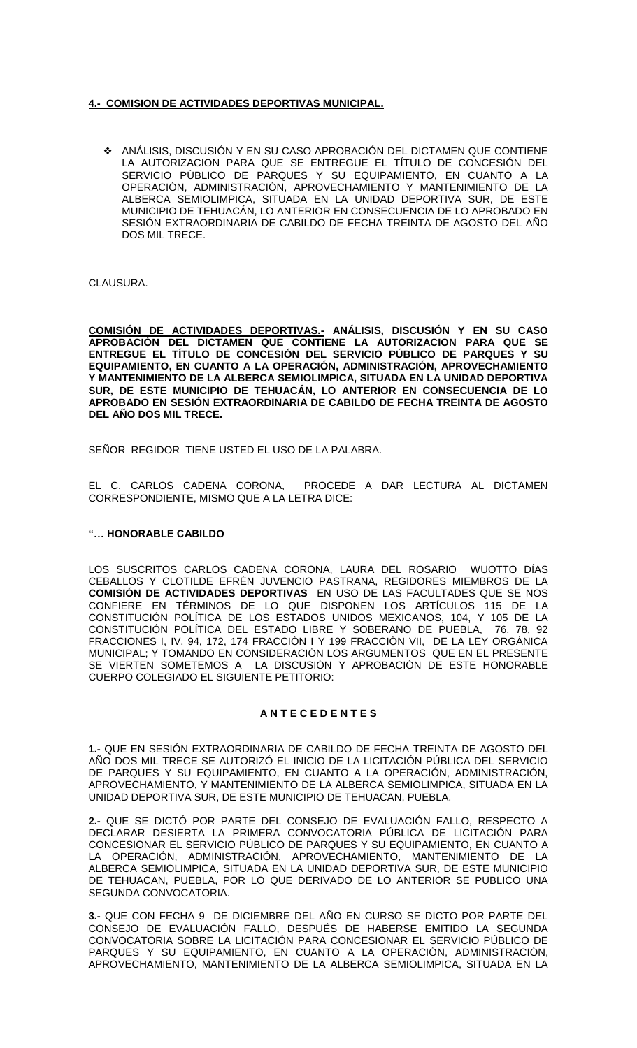## **4.- COMISION DE ACTIVIDADES DEPORTIVAS MUNICIPAL.**

 ANÁLISIS, DISCUSIÓN Y EN SU CASO APROBACIÓN DEL DICTAMEN QUE CONTIENE LA AUTORIZACION PARA QUE SE ENTREGUE EL TÍTULO DE CONCESIÓN DEL SERVICIO PÚBLICO DE PARQUES Y SU EQUIPAMIENTO, EN CUANTO A LA OPERACIÓN, ADMINISTRACIÓN, APROVECHAMIENTO Y MANTENIMIENTO DE LA ALBERCA SEMIOLIMPICA, SITUADA EN LA UNIDAD DEPORTIVA SUR, DE ESTE MUNICIPIO DE TEHUACÁN, LO ANTERIOR EN CONSECUENCIA DE LO APROBADO EN SESIÓN EXTRAORDINARIA DE CABILDO DE FECHA TREINTA DE AGOSTO DEL AÑO DOS MIL TRECE.

CLAUSURA.

**COMISIÓN DE ACTIVIDADES DEPORTIVAS.- ANÁLISIS, DISCUSIÓN Y EN SU CASO APROBACIÓN DEL DICTAMEN QUE CONTIENE LA AUTORIZACION PARA QUE SE ENTREGUE EL TÍTULO DE CONCESIÓN DEL SERVICIO PÚBLICO DE PARQUES Y SU EQUIPAMIENTO, EN CUANTO A LA OPERACIÓN, ADMINISTRACIÓN, APROVECHAMIENTO Y MANTENIMIENTO DE LA ALBERCA SEMIOLIMPICA, SITUADA EN LA UNIDAD DEPORTIVA SUR, DE ESTE MUNICIPIO DE TEHUACÁN, LO ANTERIOR EN CONSECUENCIA DE LO APROBADO EN SESIÓN EXTRAORDINARIA DE CABILDO DE FECHA TREINTA DE AGOSTO DEL AÑO DOS MIL TRECE.**

SEÑOR REGIDOR TIENE USTED EL USO DE LA PALABRA.

EL C. CARLOS CADENA CORONA, PROCEDE A DAR LECTURA AL DICTAMEN CORRESPONDIENTE, MISMO QUE A LA LETRA DICE:

#### **"… HONORABLE CABILDO**

LOS SUSCRITOS CARLOS CADENA CORONA, LAURA DEL ROSARIO WUOTTO DÍAS CEBALLOS Y CLOTILDE EFRÉN JUVENCIO PASTRANA, REGIDORES MIEMBROS DE LA **COMISIÓN DE ACTIVIDADES DEPORTIVAS** EN USO DE LAS FACULTADES QUE SE NOS CONFIERE EN TÉRMINOS DE LO QUE DISPONEN LOS ARTÍCULOS 115 DE LA CONSTITUCIÓN POLÍTICA DE LOS ESTADOS UNIDOS MEXICANOS, 104, Y 105 DE LA CONSTITUCIÓN POLÍTICA DEL ESTADO LIBRE Y SOBERANO DE PUEBLA, 76, 78, 92 FRACCIONES I, IV, 94, 172, 174 FRACCIÓN I Y 199 FRACCIÓN VII, DE LA LEY ORGÁNICA MUNICIPAL; Y TOMANDO EN CONSIDERACIÓN LOS ARGUMENTOS QUE EN EL PRESENTE SE VIERTEN SOMETEMOS A LA DISCUSIÓN Y APROBACIÓN DE ESTE HONORABLE CUERPO COLEGIADO EL SIGUIENTE PETITORIO:

### **A N T E C E D E N T E S**

**1.-** QUE EN SESIÓN EXTRAORDINARIA DE CABILDO DE FECHA TREINTA DE AGOSTO DEL AÑO DOS MIL TRECE SE AUTORIZÓ EL INICIO DE LA LICITACIÓN PÚBLICA DEL SERVICIO DE PARQUES Y SU EQUIPAMIENTO, EN CUANTO A LA OPERACIÓN, ADMINISTRACIÓN, APROVECHAMIENTO, Y MANTENIMIENTO DE LA ALBERCA SEMIOLIMPICA, SITUADA EN LA UNIDAD DEPORTIVA SUR, DE ESTE MUNICIPIO DE TEHUACAN, PUEBLA.

**2.-** QUE SE DICTÓ POR PARTE DEL CONSEJO DE EVALUACIÓN FALLO, RESPECTO A DECLARAR DESIERTA LA PRIMERA CONVOCATORIA PÚBLICA DE LICITACIÓN PARA CONCESIONAR EL SERVICIO PÚBLICO DE PARQUES Y SU EQUIPAMIENTO, EN CUANTO A LA OPERACIÓN, ADMINISTRACIÓN, APROVECHAMIENTO, MANTENIMIENTO DE LA ALBERCA SEMIOLIMPICA, SITUADA EN LA UNIDAD DEPORTIVA SUR, DE ESTE MUNICIPIO DE TEHUACAN, PUEBLA, POR LO QUE DERIVADO DE LO ANTERIOR SE PUBLICO UNA SEGUNDA CONVOCATORIA.

**3.-** QUE CON FECHA 9 DE DICIEMBRE DEL AÑO EN CURSO SE DICTO POR PARTE DEL CONSEJO DE EVALUACIÓN FALLO, DESPUÉS DE HABERSE EMITIDO LA SEGUNDA CONVOCATORIA SOBRE LA LICITACIÓN PARA CONCESIONAR EL SERVICIO PÚBLICO DE PARQUES Y SU EQUIPAMIENTO, EN CUANTO A LA OPERACIÓN, ADMINISTRACIÓN, APROVECHAMIENTO, MANTENIMIENTO DE LA ALBERCA SEMIOLIMPICA, SITUADA EN LA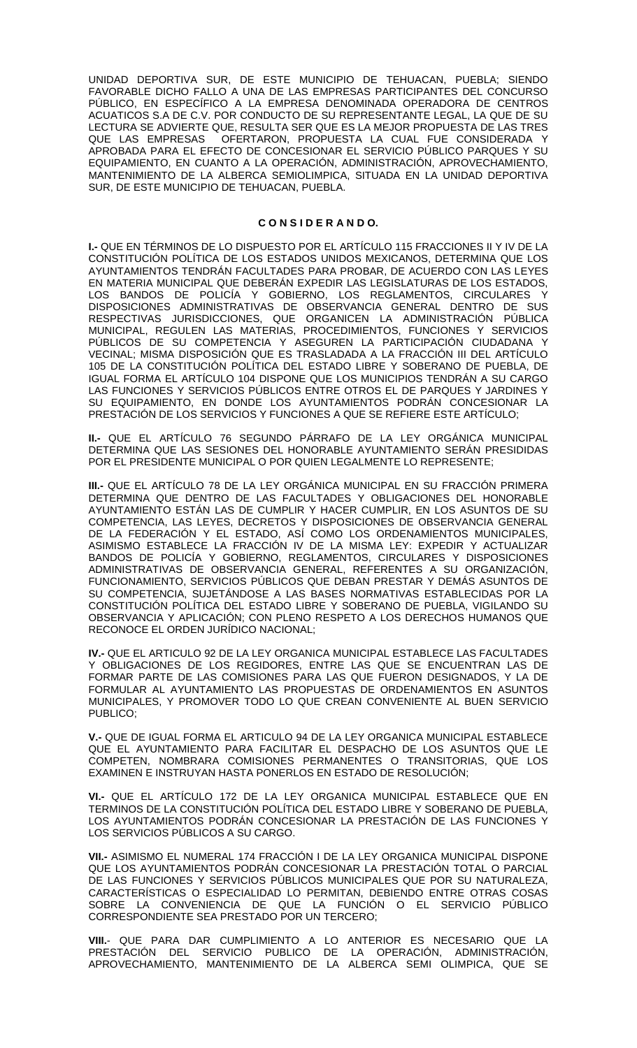UNIDAD DEPORTIVA SUR, DE ESTE MUNICIPIO DE TEHUACAN, PUEBLA; SIENDO FAVORABLE DICHO FALLO A UNA DE LAS EMPRESAS PARTICIPANTES DEL CONCURSO PÚBLICO, EN ESPECÍFICO A LA EMPRESA DENOMINADA OPERADORA DE CENTROS ACUATICOS S.A DE C.V. POR CONDUCTO DE SU REPRESENTANTE LEGAL, LA QUE DE SU LECTURA SE ADVIERTE QUE, RESULTA SER QUE ES LA MEJOR PROPUESTA DE LAS TRES QUE LAS EMPRESAS OFERTARON, PROPUESTA LA CUAL FUE CONSIDERADA Y APROBADA PARA EL EFECTO DE CONCESIONAR EL SERVICIO PÚBLICO PARQUES Y SU EQUIPAMIENTO, EN CUANTO A LA OPERACIÓN, ADMINISTRACIÓN, APROVECHAMIENTO, MANTENIMIENTO DE LA ALBERCA SEMIOLIMPICA, SITUADA EN LA UNIDAD DEPORTIVA SUR, DE ESTE MUNICIPIO DE TEHUACAN, PUEBLA.

#### **C O N S I D E R A N D O.**

**I.-** QUE EN TÉRMINOS DE LO DISPUESTO POR EL ARTÍCULO 115 FRACCIONES II Y IV DE LA CONSTITUCIÓN POLÍTICA DE LOS ESTADOS UNIDOS MEXICANOS, DETERMINA QUE LOS AYUNTAMIENTOS TENDRÁN FACULTADES PARA PROBAR, DE ACUERDO CON LAS LEYES EN MATERIA MUNICIPAL QUE DEBERÁN EXPEDIR LAS LEGISLATURAS DE LOS ESTADOS, LOS BANDOS DE POLICÍA Y GOBIERNO, LOS REGLAMENTOS, CIRCULARES Y DISPOSICIONES ADMINISTRATIVAS DE OBSERVANCIA GENERAL DENTRO DE SUS RESPECTIVAS JURISDICCIONES, QUE ORGANICEN LA ADMINISTRACIÓN PÚBLICA MUNICIPAL, REGULEN LAS MATERIAS, PROCEDIMIENTOS, FUNCIONES Y SERVICIOS PÚBLICOS DE SU COMPETENCIA Y ASEGUREN LA PARTICIPACIÓN CIUDADANA Y VECINAL; MISMA DISPOSICIÓN QUE ES TRASLADADA A LA FRACCIÓN III DEL ARTÍCULO 105 DE LA CONSTITUCIÓN POLÍTICA DEL ESTADO LIBRE Y SOBERANO DE PUEBLA, DE IGUAL FORMA EL ARTÍCULO 104 DISPONE QUE LOS MUNICIPIOS TENDRÁN A SU CARGO LAS FUNCIONES Y SERVICIOS PÚBLICOS ENTRE OTROS EL DE PARQUES Y JARDINES Y SU EQUIPAMIENTO, EN DONDE LOS AYUNTAMIENTOS PODRÁN CONCESIONAR LA PRESTACIÓN DE LOS SERVICIOS Y FUNCIONES A QUE SE REFIERE ESTE ARTÍCULO;

**II.-** QUE EL ARTÍCULO 76 SEGUNDO PÁRRAFO DE LA LEY ORGÁNICA MUNICIPAL DETERMINA QUE LAS SESIONES DEL HONORABLE AYUNTAMIENTO SERÁN PRESIDIDAS POR EL PRESIDENTE MUNICIPAL O POR QUIEN LEGALMENTE LO REPRESENTE;

**III.-** QUE EL ARTÍCULO 78 DE LA LEY ORGÁNICA MUNICIPAL EN SU FRACCIÓN PRIMERA DETERMINA QUE DENTRO DE LAS FACULTADES Y OBLIGACIONES DEL HONORABLE AYUNTAMIENTO ESTÁN LAS DE CUMPLIR Y HACER CUMPLIR, EN LOS ASUNTOS DE SU COMPETENCIA, LAS LEYES, DECRETOS Y DISPOSICIONES DE OBSERVANCIA GENERAL DE LA FEDERACIÓN Y EL ESTADO, ASÍ COMO LOS ORDENAMIENTOS MUNICIPALES, ASIMISMO ESTABLECE LA FRACCIÓN IV DE LA MISMA LEY: EXPEDIR Y ACTUALIZAR BANDOS DE POLICÍA Y GOBIERNO, REGLAMENTOS, CIRCULARES Y DISPOSICIONES ADMINISTRATIVAS DE OBSERVANCIA GENERAL, REFERENTES A SU ORGANIZACIÓN, FUNCIONAMIENTO, SERVICIOS PÚBLICOS QUE DEBAN PRESTAR Y DEMÁS ASUNTOS DE SU COMPETENCIA, SUJETÁNDOSE A LAS BASES NORMATIVAS ESTABLECIDAS POR LA CONSTITUCIÓN POLÍTICA DEL ESTADO LIBRE Y SOBERANO DE PUEBLA, VIGILANDO SU OBSERVANCIA Y APLICACIÓN; CON PLENO RESPETO A LOS DERECHOS HUMANOS QUE RECONOCE EL ORDEN JURÍDICO NACIONAL;

**IV.-** QUE EL ARTICULO 92 DE LA LEY ORGANICA MUNICIPAL ESTABLECE LAS FACULTADES Y OBLIGACIONES DE LOS REGIDORES, ENTRE LAS QUE SE ENCUENTRAN LAS DE FORMAR PARTE DE LAS COMISIONES PARA LAS QUE FUERON DESIGNADOS, Y LA DE FORMULAR AL AYUNTAMIENTO LAS PROPUESTAS DE ORDENAMIENTOS EN ASUNTOS MUNICIPALES, Y PROMOVER TODO LO QUE CREAN CONVENIENTE AL BUEN SERVICIO PUBLICO<sup>.</sup>

**V.-** QUE DE IGUAL FORMA EL ARTICULO 94 DE LA LEY ORGANICA MUNICIPAL ESTABLECE QUE EL AYUNTAMIENTO PARA FACILITAR EL DESPACHO DE LOS ASUNTOS QUE LE COMPETEN, NOMBRARA COMISIONES PERMANENTES O TRANSITORIAS, QUE LOS EXAMINEN E INSTRUYAN HASTA PONERLOS EN ESTADO DE RESOLUCIÓN;

**VI.-** QUE EL ARTÍCULO 172 DE LA LEY ORGANICA MUNICIPAL ESTABLECE QUE EN TERMINOS DE LA CONSTITUCIÓN POLÍTICA DEL ESTADO LIBRE Y SOBERANO DE PUEBLA, LOS AYUNTAMIENTOS PODRÁN CONCESIONAR LA PRESTACIÓN DE LAS FUNCIONES Y LOS SERVICIOS PÚBLICOS A SU CARGO.

**VII.-** ASIMISMO EL NUMERAL 174 FRACCIÓN I DE LA LEY ORGANICA MUNICIPAL DISPONE QUE LOS AYUNTAMIENTOS PODRÁN CONCESIONAR LA PRESTACIÓN TOTAL O PARCIAL DE LAS FUNCIONES Y SERVICIOS PÚBLICOS MUNICIPALES QUE POR SU NATURALEZA, CARACTERÍSTICAS O ESPECIALIDAD LO PERMITAN, DEBIENDO ENTRE OTRAS COSAS SOBRE LA CONVENIENCIA DE QUE LA FUNCIÓN O EL SERVICIO PÚBLICO CORRESPONDIENTE SEA PRESTADO POR UN TERCERO;

**VIII.**- QUE PARA DAR CUMPLIMIENTO A LO ANTERIOR ES NECESARIO QUE LA PRESTACIÓN DEL SERVICIO PUBLICO DE LA OPERACIÓN, ADMINISTRACIÓN, APROVECHAMIENTO, MANTENIMIENTO DE LA ALBERCA SEMI OLIMPICA, QUE SE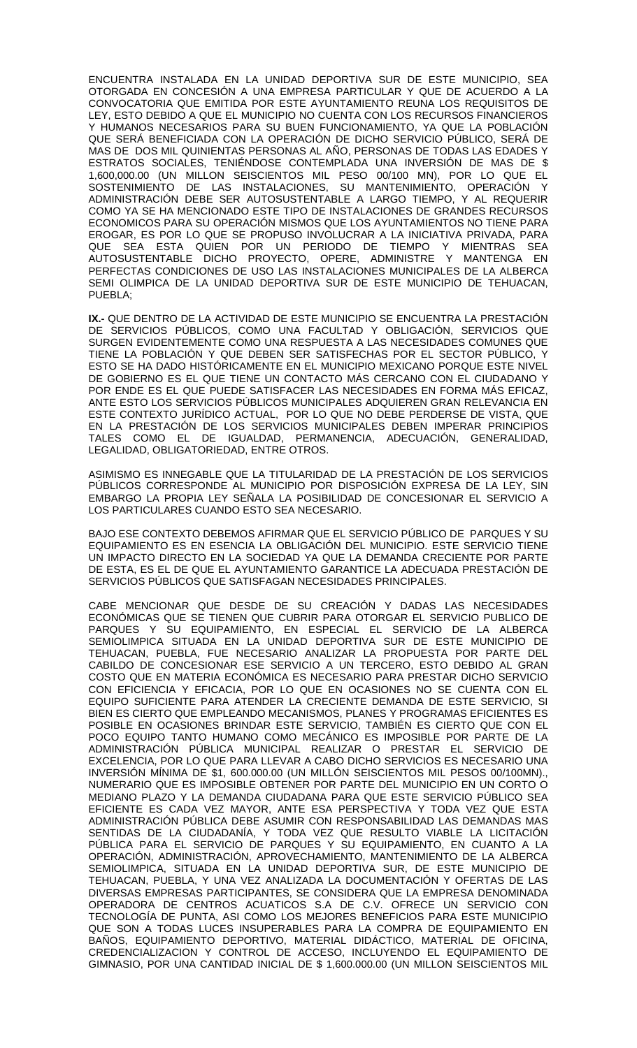ENCUENTRA INSTALADA EN LA UNIDAD DEPORTIVA SUR DE ESTE MUNICIPIO, SEA OTORGADA EN CONCESIÓN A UNA EMPRESA PARTICULAR Y QUE DE ACUERDO A LA CONVOCATORIA QUE EMITIDA POR ESTE AYUNTAMIENTO REUNA LOS REQUISITOS DE LEY, ESTO DEBIDO A QUE EL MUNICIPIO NO CUENTA CON LOS RECURSOS FINANCIEROS Y HUMANOS NECESARIOS PARA SU BUEN FUNCIONAMIENTO, YA QUE LA POBLACIÓN QUE SERÁ BENEFICIADA CON LA OPERACIÓN DE DICHO SERVICIO PÚBLICO, SERÁ DE MAS DE DOS MIL QUINIENTAS PERSONAS AL AÑO, PERSONAS DE TODAS LAS EDADES Y ESTRATOS SOCIALES, TENIÉNDOSE CONTEMPLADA UNA INVERSIÓN DE MAS DE \$ 1,600,000.00 (UN MILLON SEISCIENTOS MIL PESO 00/100 MN), POR LO QUE EL SOSTENIMIENTO DE LAS INSTALACIONES, SU MANTENIMIENTO, OPERACIÓN Y ADMINISTRACIÓN DEBE SER AUTOSUSTENTABLE A LARGO TIEMPO, Y AL REQUERIR COMO YA SE HA MENCIONADO ESTE TIPO DE INSTALACIONES DE GRANDES RECURSOS ECONOMICOS PARA SU OPERACIÓN MISMOS QUE LOS AYUNTAMIENTOS NO TIENE PARA EROGAR, ES POR LO QUE SE PROPUSO INVOLUCRAR A LA INICIATIVA PRIVADA, PARA QUE SEA ESTA QUIEN POR UN PERIODO DE TIEMPO Y MIENTRAS SEA AUTOSUSTENTABLE DICHO PROYECTO, OPERE, ADMINISTRE Y MANTENGA EN PERFECTAS CONDICIONES DE USO LAS INSTALACIONES MUNICIPALES DE LA ALBERCA SEMI OLIMPICA DE LA UNIDAD DEPORTIVA SUR DE ESTE MUNICIPIO DE TEHUACAN, PUEBLA;

**IX.-** QUE DENTRO DE LA ACTIVIDAD DE ESTE MUNICIPIO SE ENCUENTRA LA PRESTACIÓN DE SERVICIOS PÚBLICOS, COMO UNA FACULTAD Y OBLIGACIÓN, SERVICIOS QUE SURGEN EVIDENTEMENTE COMO UNA RESPUESTA A LAS NECESIDADES COMUNES QUE TIENE LA POBLACIÓN Y QUE DEBEN SER SATISFECHAS POR EL SECTOR PÚBLICO, Y ESTO SE HA DADO HISTÓRICAMENTE EN EL MUNICIPIO MEXICANO PORQUE ESTE NIVEL DE GOBIERNO ES EL QUE TIENE UN CONTACTO MÁS CERCANO CON EL CIUDADANO Y POR ENDE ES EL QUE PUEDE SATISFACER LAS NECESIDADES EN FORMA MÁS EFICAZ, ANTE ESTO LOS SERVICIOS PÚBLICOS MUNICIPALES ADQUIEREN GRAN RELEVANCIA EN ESTE CONTEXTO JURÍDICO ACTUAL, POR LO QUE NO DEBE PERDERSE DE VISTA, QUE EN LA PRESTACIÓN DE LOS SERVICIOS MUNICIPALES DEBEN IMPERAR PRINCIPIOS TALES COMO EL DE IGUALDAD, PERMANENCIA, ADECUACIÓN, GENERALIDAD, LEGALIDAD, OBLIGATORIEDAD, ENTRE OTROS.

ASIMISMO ES INNEGABLE QUE LA TITULARIDAD DE LA PRESTACIÓN DE LOS SERVICIOS PÚBLICOS CORRESPONDE AL MUNICIPIO POR DISPOSICIÓN EXPRESA DE LA LEY, SIN EMBARGO LA PROPIA LEY SEÑALA LA POSIBILIDAD DE CONCESIONAR EL SERVICIO A LOS PARTICULARES CUANDO ESTO SEA NECESARIO.

BAJO ESE CONTEXTO DEBEMOS AFIRMAR QUE EL SERVICIO PÚBLICO DE PARQUES Y SU EQUIPAMIENTO ES EN ESENCIA LA OBLIGACIÓN DEL MUNICIPIO. ESTE SERVICIO TIENE UN IMPACTO DIRECTO EN LA SOCIEDAD YA QUE LA DEMANDA CRECIENTE POR PARTE DE ESTA, ES EL DE QUE EL AYUNTAMIENTO GARANTICE LA ADECUADA PRESTACIÓN DE SERVICIOS PÚBLICOS QUE SATISFAGAN NECESIDADES PRINCIPALES.

CABE MENCIONAR QUE DESDE DE SU CREACIÓN Y DADAS LAS NECESIDADES ECONÓMICAS QUE SE TIENEN QUE CUBRIR PARA OTORGAR EL SERVICIO PUBLICO DE PARQUES Y SU EQUIPAMIENTO, EN ESPECIAL EL SERVICIO DE LA ALBERCA SEMIOLIMPICA SITUADA EN LA UNIDAD DEPORTIVA SUR DE ESTE MUNICIPIO DE TEHUACAN, PUEBLA, FUE NECESARIO ANALIZAR LA PROPUESTA POR PARTE DEL CABILDO DE CONCESIONAR ESE SERVICIO A UN TERCERO, ESTO DEBIDO AL GRAN COSTO QUE EN MATERIA ECONÓMICA ES NECESARIO PARA PRESTAR DICHO SERVICIO CON EFICIENCIA Y EFICACIA, POR LO QUE EN OCASIONES NO SE CUENTA CON EL EQUIPO SUFICIENTE PARA ATENDER LA CRECIENTE DEMANDA DE ESTE SERVICIO, SI BIEN ES CIERTO QUE EMPLEANDO MECANISMOS, PLANES Y PROGRAMAS EFICIENTES ES POSIBLE EN OCASIONES BRINDAR ESTE SERVICIO, TAMBIÉN ES CIERTO QUE CON EL POCO EQUIPO TANTO HUMANO COMO MECÁNICO ES IMPOSIBLE POR PARTE DE LA ADMINISTRACIÓN PÚBLICA MUNICIPAL REALIZAR O PRESTAR EL SERVICIO DE EXCELENCIA, POR LO QUE PARA LLEVAR A CABO DICHO SERVICIOS ES NECESARIO UNA INVERSIÓN MÍNIMA DE \$1, 600.000.00 (UN MILLÓN SEISCIENTOS MIL PESOS 00/100MN)., NUMERARIO QUE ES IMPOSIBLE OBTENER POR PARTE DEL MUNICIPIO EN UN CORTO O MEDIANO PLAZO Y LA DEMANDA CIUDADANA PARA QUE ESTE SERVICIO PÚBLICO SEA EFICIENTE ES CADA VEZ MAYOR, ANTE ESA PERSPECTIVA Y TODA VEZ QUE ESTA ADMINISTRACIÓN PÚBLICA DEBE ASUMIR CON RESPONSABILIDAD LAS DEMANDAS MAS SENTIDAS DE LA CIUDADANÍA, Y TODA VEZ QUE RESULTO VIABLE LA LICITACIÓN PÚBLICA PARA EL SERVICIO DE PARQUES Y SU EQUIPAMIENTO, EN CUANTO A LA OPERACIÓN, ADMINISTRACIÓN, APROVECHAMIENTO, MANTENIMIENTO DE LA ALBERCA SEMIOLIMPICA, SITUADA EN LA UNIDAD DEPORTIVA SUR, DE ESTE MUNICIPIO DE TEHUACAN, PUEBLA, Y UNA VEZ ANALIZADA LA DOCUMENTACIÓN Y OFERTAS DE LAS DIVERSAS EMPRESAS PARTICIPANTES, SE CONSIDERA QUE LA EMPRESA DENOMINADA OPERADORA DE CENTROS ACUATICOS S.A DE C.V. OFRECE UN SERVICIO CON TECNOLOGÍA DE PUNTA, ASI COMO LOS MEJORES BENEFICIOS PARA ESTE MUNICIPIO QUE SON A TODAS LUCES INSUPERABLES PARA LA COMPRA DE EQUIPAMIENTO EN BAÑOS, EQUIPAMIENTO DEPORTIVO, MATERIAL DIDÁCTICO, MATERIAL DE OFICINA, CREDENCIALIZACION Y CONTROL DE ACCESO, INCLUYENDO EL EQUIPAMIENTO DE GIMNASIO, POR UNA CANTIDAD INICIAL DE \$ 1,600.000.00 (UN MILLON SEISCIENTOS MIL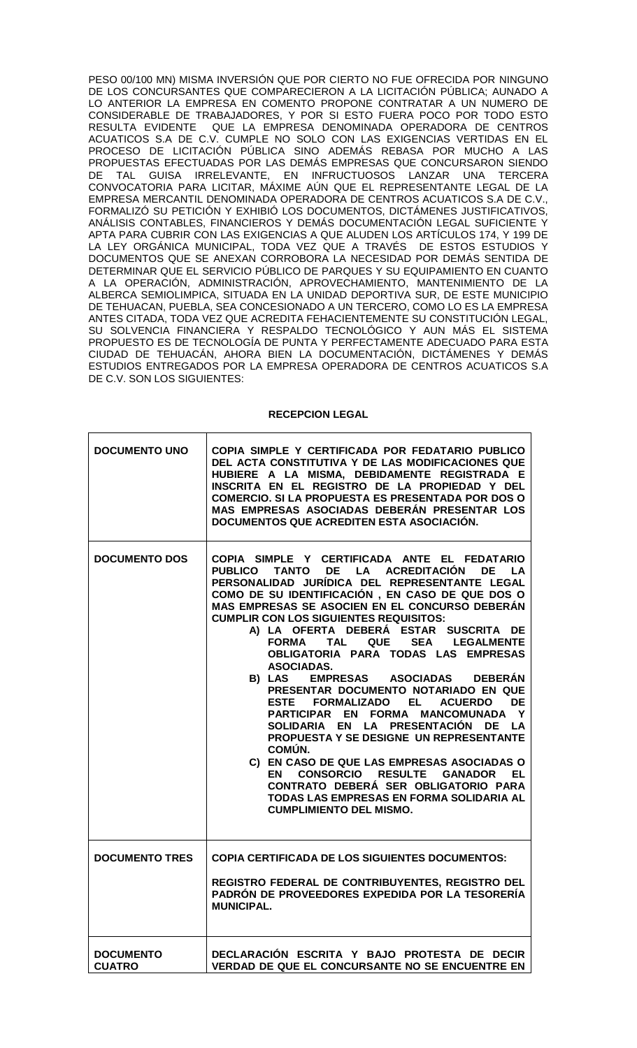PESO 00/100 MN) MISMA INVERSIÓN QUE POR CIERTO NO FUE OFRECIDA POR NINGUNO DE LOS CONCURSANTES QUE COMPARECIERON A LA LICITACIÓN PÚBLICA; AUNADO A LO ANTERIOR LA EMPRESA EN COMENTO PROPONE CONTRATAR A UN NUMERO DE CONSIDERABLE DE TRABAJADORES, Y POR SI ESTO FUERA POCO POR TODO ESTO RESULTA EVIDENTE QUE LA EMPRESA DENOMINADA OPERADORA DE CENTROS ACUATICOS S.A DE C.V. CUMPLE NO SOLO CON LAS EXIGENCIAS VERTIDAS EN EL PROCESO DE LICITACIÓN PÚBLICA SINO ADEMÁS REBASA POR MUCHO A LAS PROPUESTAS EFECTUADAS POR LAS DEMÁS EMPRESAS QUE CONCURSARON SIENDO DE TAL GUISA IRRELEVANTE, EN INFRUCTUOSOS LANZAR UNA TERCERA CONVOCATORIA PARA LICITAR, MÁXIME AÚN QUE EL REPRESENTANTE LEGAL DE LA EMPRESA MERCANTIL DENOMINADA OPERADORA DE CENTROS ACUATICOS S.A DE C.V., FORMALIZÓ SU PETICIÓN Y EXHIBIÓ LOS DOCUMENTOS, DICTÁMENES JUSTIFICATIVOS, ANÁLISIS CONTABLES, FINANCIEROS Y DEMÁS DOCUMENTACIÓN LEGAL SUFICIENTE Y APTA PARA CUBRIR CON LAS EXIGENCIAS A QUE ALUDEN LOS ARTÍCULOS 174, Y 199 DE LA LEY ORGÁNICA MUNICIPAL, TODA VEZ QUE A TRAVÉS DE ESTOS ESTUDIOS Y DOCUMENTOS QUE SE ANEXAN CORROBORA LA NECESIDAD POR DEMÁS SENTIDA DE DETERMINAR QUE EL SERVICIO PÚBLICO DE PARQUES Y SU EQUIPAMIENTO EN CUANTO A LA OPERACIÓN, ADMINISTRACIÓN, APROVECHAMIENTO, MANTENIMIENTO DE LA ALBERCA SEMIOLIMPICA, SITUADA EN LA UNIDAD DEPORTIVA SUR, DE ESTE MUNICIPIO DE TEHUACAN, PUEBLA, SEA CONCESIONADO A UN TERCERO, COMO LO ES LA EMPRESA ANTES CITADA, TODA VEZ QUE ACREDITA FEHACIENTEMENTE SU CONSTITUCIÓN LEGAL, SU SOLVENCIA FINANCIERA Y RESPALDO TECNOLÓGICO Y AUN MÁS EL SISTEMA PROPUESTO ES DE TECNOLOGÍA DE PUNTA Y PERFECTAMENTE ADECUADO PARA ESTA CIUDAD DE TEHUACÁN, AHORA BIEN LA DOCUMENTACIÓN, DICTÁMENES Y DEMÁS ESTUDIOS ENTREGADOS POR LA EMPRESA OPERADORA DE CENTROS ACUATICOS S.A DE C.V. SON LOS SIGUIENTES:

#### **RECEPCION LEGAL**

| <b>DOCUMENTO UNO</b>              | COPIA SIMPLE Y CERTIFICADA POR FEDATARIO PUBLICO<br>DEL ACTA CONSTITUTIVA Y DE LAS MODIFICACIONES QUE<br>HUBIERE A LA MISMA, DEBIDAMENTE REGISTRADA E<br>INSCRITA EN EL REGISTRO DE LA PROPIEDAD Y DEL<br><b>COMERCIO. SI LA PROPUESTA ES PRESENTADA POR DOS O</b><br>MAS EMPRESAS ASOCIADAS DEBERÁN PRESENTAR LOS<br>DOCUMENTOS QUE ACREDITEN ESTA ASOCIACIÓN.                                                                                                                                                                                                                                                                                                                                                                                                                                                                                                                                                                                                                         |
|-----------------------------------|-----------------------------------------------------------------------------------------------------------------------------------------------------------------------------------------------------------------------------------------------------------------------------------------------------------------------------------------------------------------------------------------------------------------------------------------------------------------------------------------------------------------------------------------------------------------------------------------------------------------------------------------------------------------------------------------------------------------------------------------------------------------------------------------------------------------------------------------------------------------------------------------------------------------------------------------------------------------------------------------|
| <b>DOCUMENTO DOS</b>              | COPIA SIMPLE Y CERTIFICADA ANTE EL FEDATARIO<br>LA ACREDITACIÓN<br><b>PUBLICO</b><br><b>TANTO</b><br>DE <b>DE</b><br>DE<br><b>LA</b><br>PERSONALIDAD JURÍDICA DEL REPRESENTANTE LEGAL<br>COMO DE SU IDENTIFICACIÓN, EN CASO DE QUE DOS O<br>MAS EMPRESAS SE ASOCIEN EN EL CONCURSO DEBERÁN<br><b>CUMPLIR CON LOS SIGUIENTES REQUISITOS:</b><br>A) LA OFERTA DEBERÁ ESTAR SUSCRITA DE<br><b>FORMA</b><br>TAL<br>QUE SEA LEGALMENTE<br>OBLIGATORIA PARA TODAS LAS EMPRESAS<br>ASOCIADAS.<br><b>EMPRESAS ASOCIADAS</b><br><b>DEBERÁN</b><br>B) LAS<br>PRESENTAR DOCUMENTO NOTARIADO EN QUE<br>ESTE FORMALIZADO EL<br><b>ACUERDO</b><br><b>DE</b><br>PARTICIPAR EN FORMA MANCOMUNADA Y<br>SOLIDARIA EN LA PRESENTACIÓN DE LA<br>PROPUESTA Y SE DESIGNE UN REPRESENTANTE<br>COMUN.<br>C) EN CASO DE QUE LAS EMPRESAS ASOCIADAS O<br>CONSORCIO RESULTE GANADOR EL<br>EN<br>CONTRATO DEBERÁ SER OBLIGATORIO PARA<br>TODAS LAS EMPRESAS EN FORMA SOLIDARIA AL<br><b>CUMPLIMIENTO DEL MISMO.</b> |
| <b>DOCUMENTO TRES</b>             | <b>COPIA CERTIFICADA DE LOS SIGUIENTES DOCUMENTOS:</b><br>REGISTRO FEDERAL DE CONTRIBUYENTES, REGISTRO DEL                                                                                                                                                                                                                                                                                                                                                                                                                                                                                                                                                                                                                                                                                                                                                                                                                                                                              |
|                                   | PADRÓN DE PROVEEDORES EXPEDIDA POR LA TESORERÍA<br><b>MUNICIPAL.</b>                                                                                                                                                                                                                                                                                                                                                                                                                                                                                                                                                                                                                                                                                                                                                                                                                                                                                                                    |
| <b>DOCUMENTO</b><br><b>CUATRO</b> | DECLARACIÓN ESCRITA Y BAJO PROTESTA DE DECIR<br>VERDAD DE QUE EL CONCURSANTE NO SE ENCUENTRE EN                                                                                                                                                                                                                                                                                                                                                                                                                                                                                                                                                                                                                                                                                                                                                                                                                                                                                         |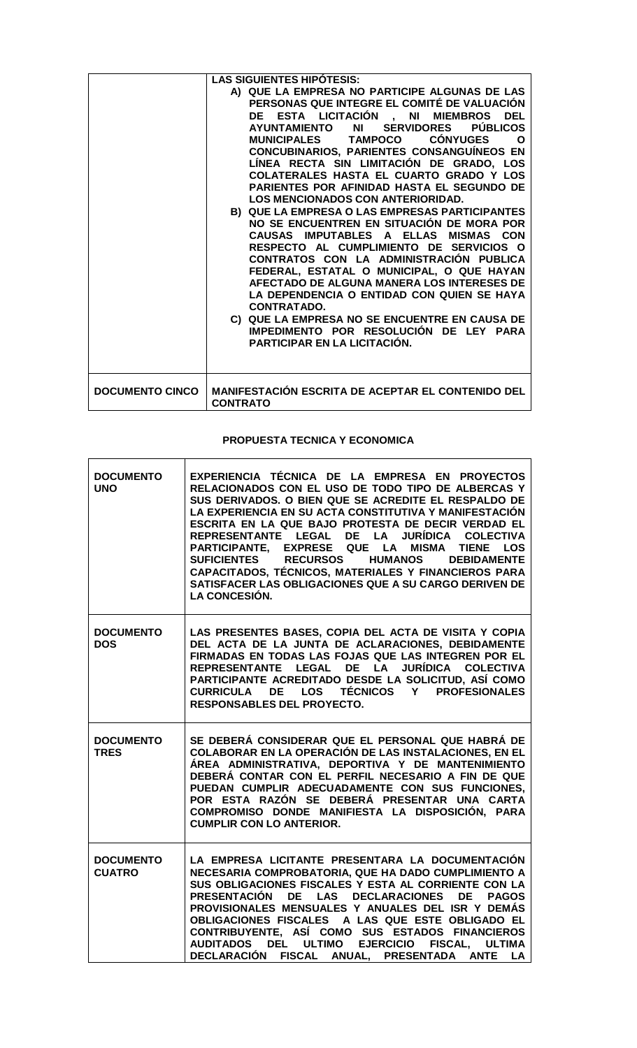|                        | <b>LAS SIGUIENTES HIPOTESIS:</b><br>A) QUE LA EMPRESA NO PARTICIPE ALGUNAS DE LAS<br>PERSONAS QUE INTEGRE EL COMITÉ DE VALUACIÓN<br>DE ESTA LICITACIÓN , NI MIEMBROS DEL<br><b>PÚBLICOS</b><br>NI 1<br><b>SERVIDORES</b><br><b>AYUNTAMIENTO</b><br><b>CONYUGES</b><br><b>MUNICIPALES</b><br><b>TAMPOCO</b><br>∩<br>CONCUBINARIOS, PARIENTES CONSANGUÍNEOS EN<br>LÍNEA RECTA SIN LIMITACIÓN DE GRADO, LOS<br>COLATERALES HASTA EL CUARTO GRADO Y LOS<br><b>PARIENTES POR AFINIDAD HASTA EL SEGUNDO DE</b><br><b>LOS MENCIONADOS CON ANTERIORIDAD.</b><br>B) QUE LA EMPRESA O LAS EMPRESAS PARTICIPANTES<br>NO SE ENCUENTREN EN SITUACIÓN DE MORA POR<br>CAUSAS IMPUTABLES A ELLAS<br><b>MISMAS CON</b><br>RESPECTO AL CUMPLIMIENTO DE SERVICIOS O<br>CONTRATOS CON LA ADMINISTRACIÓN PUBLICA<br>FEDERAL, ESTATAL O MUNICIPAL, O QUE HAYAN<br>AFECTADO DE ALGUNA MANERA LOS INTERESES DE<br>LA DEPENDENCIA O ENTIDAD CON QUIEN SE HAYA<br><b>CONTRATADO.</b><br>C) QUE LA EMPRESA NO SE ENCUENTRE EN CAUSA DE<br>IMPEDIMENTO POR RESOLUCIÓN DE LEY PARA<br><b>PARTICIPAR EN LA LICITACIÓN.</b> |
|------------------------|----------------------------------------------------------------------------------------------------------------------------------------------------------------------------------------------------------------------------------------------------------------------------------------------------------------------------------------------------------------------------------------------------------------------------------------------------------------------------------------------------------------------------------------------------------------------------------------------------------------------------------------------------------------------------------------------------------------------------------------------------------------------------------------------------------------------------------------------------------------------------------------------------------------------------------------------------------------------------------------------------------------------------------------------------------------------------------------------|
| <b>DOCUMENTO CINCO</b> | MANIFESTACIÓN ESCRITA DE ACEPTAR EL CONTENIDO DEL<br><b>CONTRATO</b>                                                                                                                                                                                                                                                                                                                                                                                                                                                                                                                                                                                                                                                                                                                                                                                                                                                                                                                                                                                                                         |

# **PROPUESTA TECNICA Y ECONOMICA**

 $\overline{1}$ 

| <b>DOCUMENTO</b><br><b>UNO</b>    | EXPERIENCIA TÉCNICA DE LA EMPRESA EN PROYECTOS<br>RELACIONADOS CON EL USO DE TODO TIPO DE ALBERCAS Y<br>SUS DERIVADOS. O BIEN QUE SE ACREDITE EL RESPALDO DE<br>LA EXPERIENCIA EN SU ACTA CONSTITUTIVA Y MANIFESTACIÓN<br>ESCRITA EN LA QUE BAJO PROTESTA DE DECIR VERDAD EL<br>REPRESENTANTE LEGAL DE LA JURÍDICA COLECTIVA<br>PARTICIPANTE, EXPRESE QUE LA MISMA TIENE<br><b>LOS</b><br>SUFICIENTES RECURSOS HUMANOS<br><b>DEBIDAMENTE</b><br>CAPACITADOS, TÉCNICOS, MATERIALES Y FINANCIEROS PARA<br>SATISFACER LAS OBLIGACIONES QUE A SU CARGO DERIVEN DE<br><b>LA CONCESIÓN.</b> |
|-----------------------------------|---------------------------------------------------------------------------------------------------------------------------------------------------------------------------------------------------------------------------------------------------------------------------------------------------------------------------------------------------------------------------------------------------------------------------------------------------------------------------------------------------------------------------------------------------------------------------------------|
| <b>DOCUMENTO</b><br><b>DOS</b>    | LAS PRESENTES BASES, COPIA DEL ACTA DE VISITA Y COPIA<br>DEL ACTA DE LA JUNTA DE ACLARACIONES, DEBIDAMENTE<br>FIRMADAS EN TODAS LAS FOJAS QUE LAS INTEGREN POR EL<br>REPRESENTANTE LEGAL DE LA JURÍDICA COLECTIVA<br>PARTICIPANTE ACREDITADO DESDE LA SOLICITUD, ASÍ COMO<br>CURRICULA DE LOS TÉCNICOS Y PROFESIONALES<br><b>RESPONSABLES DEL PROYECTO.</b>                                                                                                                                                                                                                           |
| <b>DOCUMENTO</b><br><b>TRES</b>   | SE DEBERÁ CONSIDERAR QUE EL PERSONAL QUE HABRÁ DE<br>COLABORAR EN LA OPERACIÓN DE LAS INSTALACIONES, EN EL<br>ÁREA ADMINISTRATIVA, DEPORTIVA Y DE MANTENIMIENTO<br>DEBERÁ CONTAR CON EL PERFIL NECESARIO A FIN DE QUE<br>PUEDAN CUMPLIR ADECUADAMENTE CON SUS FUNCIONES,<br>POR ESTA RAZÓN SE DEBERÁ PRESENTAR UNA CARTA<br>COMPROMISO DONDE MANIFIESTA LA DISPOSICIÓN, PARA<br><b>CUMPLIR CON LO ANTERIOR.</b>                                                                                                                                                                       |
| <b>DOCUMENTO</b><br><b>CUATRO</b> | LA EMPRESA LICITANTE PRESENTARA LA DOCUMENTACIÓN<br>NECESARIA COMPROBATORIA, QUE HA DADO CUMPLIMIENTO A<br>SUS OBLIGACIONES FISCALES Y ESTA AL CORRIENTE CON LA<br>PRESENTACIÓN DE LAS DECLARACIONES DE<br><b>PAGOS</b><br>PROVISIONALES MENSUALES Y ANUALES DEL ISR Y DEMÁS<br>OBLIGACIONES FISCALES A LAS QUE ESTE OBLIGADO EL<br>CONTRIBUYENTE, ASÍ COMO SUS ESTADOS FINANCIEROS<br>AUDITADOS DEL ULTIMO EJERCICIO FISCAL,<br><b>ULTIMA</b><br>DECLARACIÓN FISCAL ANUAL, PRESENTADA ANTE<br>LA                                                                                     |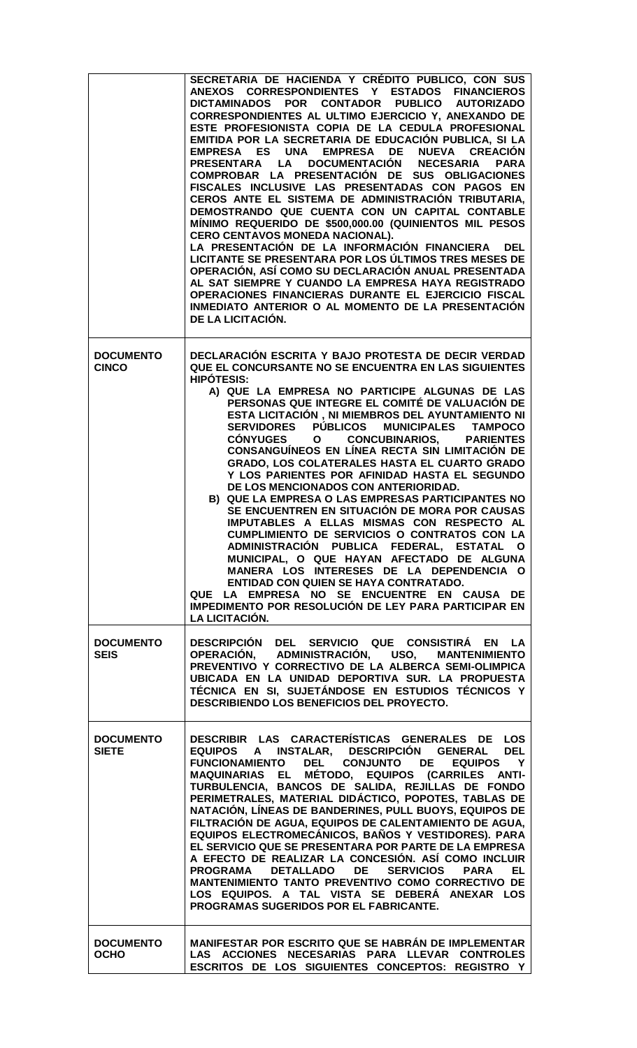|                                  | SECRETARIA DE HACIENDA Y CRÉDITO PUBLICO, CON SUS<br>ANEXOS CORRESPONDIENTES Y ESTADOS FINANCIEROS<br>DICTAMINADOS POR CONTADOR PUBLICO AUTORIZADO<br>CORRESPONDIENTES AL ULTIMO EJERCICIO Y, ANEXANDO DE<br>ESTE PROFESIONISTA COPIA DE LA CEDULA PROFESIONAL<br>EMITIDA POR LA SECRETARIA DE EDUCACIÓN PUBLICA, SI LA<br>EMPRESA ES UNA EMPRESA DE NUEVA CREACIÓN<br>LA DOCUMENTACIÓN NECESARIA PARA<br><b>PRESENTARA</b><br>COMPROBAR LA PRESENTACIÓN DE SUS OBLIGACIONES<br>FISCALES INCLUSIVE LAS PRESENTADAS CON PAGOS EN<br>CEROS ANTE EL SISTEMA DE ADMINISTRACIÓN TRIBUTARIA,<br>DEMOSTRANDO QUE CUENTA CON UN CAPITAL CONTABLE<br>MÍNIMO REQUERIDO DE \$500,000.00 (QUINIENTOS MIL PESOS<br>CERO CENTAVOS MONEDA NACIONAL).<br>LA PRESENTACIÓN DE LA INFORMACIÓN FINANCIERA<br><b>DEL</b><br>LICITANTE SE PRESENTARA POR LOS ÚLTIMOS TRES MESES DE<br>OPERACIÓN, ASÍ COMO SU DECLARACIÓN ANUAL PRESENTADA<br>AL SAT SIEMPRE Y CUANDO LA EMPRESA HAYA REGISTRADO<br>OPERACIONES FINANCIERAS DURANTE EL EJERCICIO FISCAL<br>INMEDIATO ANTERIOR O AL MOMENTO DE LA PRESENTACIÓN<br>DE LA LICITACIÓN. |
|----------------------------------|-------------------------------------------------------------------------------------------------------------------------------------------------------------------------------------------------------------------------------------------------------------------------------------------------------------------------------------------------------------------------------------------------------------------------------------------------------------------------------------------------------------------------------------------------------------------------------------------------------------------------------------------------------------------------------------------------------------------------------------------------------------------------------------------------------------------------------------------------------------------------------------------------------------------------------------------------------------------------------------------------------------------------------------------------------------------------------------------------------------|
| <b>DOCUMENTO</b><br><b>CINCO</b> | DECLARACIÓN ESCRITA Y BAJO PROTESTA DE DECIR VERDAD<br>QUE EL CONCURSANTE NO SE ENCUENTRA EN LAS SIGUIENTES<br><b>HIPOTESIS:</b><br>A) QUE LA EMPRESA NO PARTICIPE ALGUNAS DE LAS<br>PERSONAS QUE INTEGRE EL COMITÉ DE VALUACIÓN DE<br>ESTA LICITACIÓN, NI MIEMBROS DEL AYUNTAMIENTO NI<br>SERVIDORES PÚBLICOS MUNICIPALES TAMPOCO<br>CÓNYUGES O CONCUBINARIOS, PARIENTES<br>CONSANGUÍNEOS EN LÍNEA RECTA SIN LIMITACIÓN DE<br>GRADO, LOS COLATERALES HASTA EL CUARTO GRADO<br>Y LOS PARIENTES POR AFINIDAD HASTA EL SEGUNDO<br>DE LOS MENCIONADOS CON ANTERIORIDAD.<br>B) QUE LA EMPRESA O LAS EMPRESAS PARTICIPANTES NO<br>SE ENCUENTREN EN SITUACIÓN DE MORA POR CAUSAS<br>IMPUTABLES A ELLAS MISMAS CON RESPECTO AL<br>CUMPLIMIENTO DE SERVICIOS O CONTRATOS CON LA<br>ADMINISTRACIÓN PUBLICA FEDERAL, ESTATAL<br>O<br>MUNICIPAL, O QUE HAYAN AFECTADO DE ALGUNA<br>MANERA LOS INTERESES DE LA DEPENDENCIA O<br><b>ENTIDAD CON QUIEN SE HAYA CONTRATADO.</b><br>QUE LA EMPRESA NO SE ENCUENTRE EN CAUSA DE<br>IMPEDIMENTO POR RESOLUCIÓN DE LEY PARA PARTICIPAR EN<br><b>LA LICITACIÓN.</b>             |
| <b>DOCUMENTO</b><br><b>SEIS</b>  | DESCRIPCIÓN DEL SERVICIO QUE CONSISTIRÁ EN<br><b>LA</b><br>OPERACIÓN, ADMINISTRACIÓN, USO, MANTENIMIENTO<br>PREVENTIVO Y CORRECTIVO DE LA ALBERCA SEMI-OLIMPICA<br>UBICADA EN LA UNIDAD DEPORTIVA SUR. LA PROPUESTA<br>TÉCNICA EN SI, SUJETÁNDOSE EN ESTUDIOS TÉCNICOS Y<br>DESCRIBIENDO LOS BENEFICIOS DEL PROYECTO.                                                                                                                                                                                                                                                                                                                                                                                                                                                                                                                                                                                                                                                                                                                                                                                       |
| <b>DOCUMENTO</b><br><b>SIETE</b> | DESCRIBIR LAS CARACTERÍSTICAS GENERALES DE LOS<br>EQUIPOS A INSTALAR, DESCRIPCIÓN GENERAL<br><b>DEL</b><br>FUNCIONAMIENTO DEL CONJUNTO DE EQUIPOS<br>$\mathsf{Y}$<br>MAQUINARIAS EL MÉTODO, EQUIPOS (CARRILES ANTI-<br>TURBULENCIA, BANCOS DE SALIDA, REJILLAS DE FONDO<br>PERIMETRALES, MATERIAL DIDÁCTICO, POPOTES, TABLAS DE<br>NATACIÓN, LÍNEAS DE BANDERINES, PULL BUOYS, EQUIPOS DE<br>FILTRACIÓN DE AGUA, EQUIPOS DE CALENTAMIENTO DE AGUA,<br>EQUIPOS ELECTROMECÁNICOS, BAÑOS Y VESTIDORES). PARA<br>EL SERVICIO QUE SE PRESENTARA POR PARTE DE LA EMPRESA<br>A EFECTO DE REALIZAR LA CONCESIÓN. ASÍ COMO INCLUIR<br>PROGRAMA DETALLADO DE SERVICIOS<br><b>PARA</b><br>EL<br>MANTENIMIENTO TANTO PREVENTIVO COMO CORRECTIVO DE<br>LOS EQUIPOS. A TAL VISTA SE DEBERÁ ANEXAR LOS<br>PROGRAMAS SUGERIDOS POR EL FABRICANTE.                                                                                                                                                                                                                                                                           |
| <b>DOCUMENTO</b><br><b>OCHO</b>  | MANIFESTAR POR ESCRITO QUE SE HABRÁN DE IMPLEMENTAR<br>LAS ACCIONES NECESARIAS PARA LLEVAR CONTROLES<br>ESCRITOS DE LOS SIGUIENTES CONCEPTOS: REGISTRO Y                                                                                                                                                                                                                                                                                                                                                                                                                                                                                                                                                                                                                                                                                                                                                                                                                                                                                                                                                    |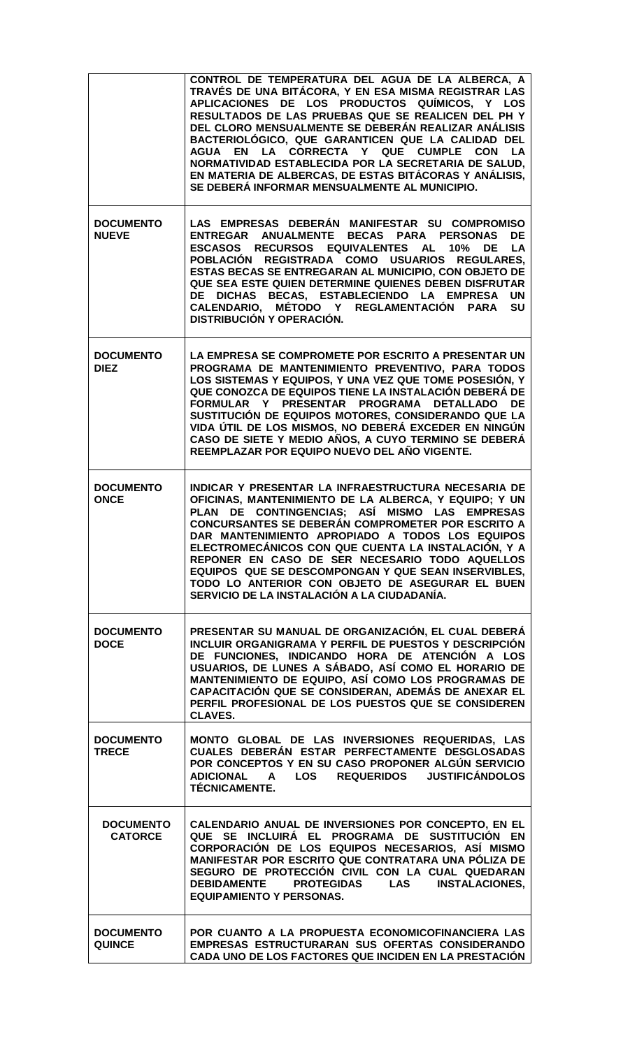|                                    | CONTROL DE TEMPERATURA DEL AGUA DE LA ALBERCA, A<br>TRAVÉS DE UNA BITÁCORA, Y EN ESA MISMA REGISTRAR LAS<br>APLICACIONES DE LOS PRODUCTOS QUÍMICOS, Y LOS<br>RESULTADOS DE LAS PRUEBAS QUE SE REALICEN DEL PH Y<br>DEL CLORO MENSUALMENTE SE DEBERÁN REALIZAR ANÁLISIS<br>BACTERIOLÓGICO, QUE GARANTICEN QUE LA CALIDAD DEL<br>AGUA EN LA CORRECTA Y QUE CUMPLE CON<br><b>LA</b><br>NORMATIVIDAD ESTABLECIDA POR LA SECRETARIA DE SALUD,<br>EN MATERIA DE ALBERCAS, DE ESTAS BITÁCORAS Y ANÁLISIS,<br>SE DEBERÁ INFORMAR MENSUALMENTE AL MUNICIPIO. |
|------------------------------------|-----------------------------------------------------------------------------------------------------------------------------------------------------------------------------------------------------------------------------------------------------------------------------------------------------------------------------------------------------------------------------------------------------------------------------------------------------------------------------------------------------------------------------------------------------|
| <b>DOCUMENTO</b><br><b>NUEVE</b>   | LAS EMPRESAS DEBERÁN MANIFESTAR SU COMPROMISO<br>ENTREGAR ANUALMENTE BECAS PARA PERSONAS<br><b>DE</b><br>ESCASOS RECURSOS EQUIVALENTES AL<br>10% DE<br>LA<br>POBLACIÓN REGISTRADA COMO USUARIOS<br><b>REGULARES,</b><br>ESTAS BECAS SE ENTREGARAN AL MUNICIPIO, CON OBJETO DE<br>QUE SEA ESTE QUIEN DETERMINE QUIENES DEBEN DISFRUTAR<br>DE DICHAS BECAS, ESTABLECIENDO LA EMPRESA<br><b>UN</b><br>CALENDARIO, MÉTODO Y REGLAMENTACIÓN PARA<br>SU<br><b>DISTRIBUCIÓN Y OPERACIÓN.</b>                                                               |
| <b>DOCUMENTO</b><br><b>DIEZ</b>    | LA EMPRESA SE COMPROMETE POR ESCRITO A PRESENTAR UN<br>PROGRAMA DE MANTENIMIENTO PREVENTIVO, PARA TODOS<br>LOS SISTEMAS Y EQUIPOS, Y UNA VEZ QUE TOME POSESIÓN, Y<br>QUE CONOZCA DE EQUIPOS TIENE LA INSTALACIÓN DEBERÁ DE<br>FORMULAR Y PRESENTAR PROGRAMA DETALLADO DE<br>SUSTITUCIÓN DE EQUIPOS MOTORES, CONSIDERANDO QUE LA<br>VIDA ÚTIL DE LOS MISMOS, NO DEBERÁ EXCEDER EN NINGÚN<br>CASO DE SIETE Y MEDIO AÑOS, A CUYO TERMINO SE DEBERÁ<br>REEMPLAZAR POR EQUIPO NUEVO DEL AÑO VIGENTE.                                                     |
| <b>DOCUMENTO</b><br><b>ONCE</b>    | INDICAR Y PRESENTAR LA INFRAESTRUCTURA NECESARIA DE<br>OFICINAS, MANTENIMIENTO DE LA ALBERCA, Y EQUIPO; Y UN<br>PLAN DE CONTINGENCIAS; ASÍ MISMO LAS EMPRESAS<br>CONCURSANTES SE DEBERÁN COMPROMETER POR ESCRITO A<br>DAR MANTENIMIENTO APROPIADO A TODOS LOS EQUIPOS<br>ELECTROMECÁNICOS CON QUE CUENTA LA INSTALACIÓN, Y A<br>REPONER EN CASO DE SER NECESARIO TODO AQUELLOS<br>EQUIPOS QUE SE DESCOMPONGAN Y QUE SEAN INSERVIBLES,<br>TODO LO ANTERIOR CON OBJETO DE ASEGURAR EL BUEN<br>SERVICIO DE LA INSTALACIÓN A LA CIUDADANÍA.             |
| <b>DOCUMENTO</b><br><b>DOCE</b>    | PRESENTAR SU MANUAL DE ORGANIZACIÓN, EL CUAL DEBERÁ<br>INCLUIR ORGANIGRAMA Y PERFIL DE PUESTOS Y DESCRIPCIÓN<br>DE FUNCIONES, INDICANDO HORA DE ATENCIÓN A LOS<br>USUARIOS, DE LUNES A SÁBADO, ASÍ COMO EL HORARIO DE<br>MANTENIMIENTO DE EQUIPO, ASÍ COMO LOS PROGRAMAS DE<br>CAPACITACIÓN QUE SE CONSIDERAN, ADEMÁS DE ANEXAR EL<br>PERFIL PROFESIONAL DE LOS PUESTOS QUE SE CONSIDEREN<br><b>CLAVES.</b>                                                                                                                                         |
| <b>DOCUMENTO</b><br><b>TRECE</b>   | MONTO GLOBAL DE LAS INVERSIONES REQUERIDAS, LAS<br>CUALES DEBERÁN ESTAR PERFECTAMENTE DESGLOSADAS<br>POR CONCEPTOS Y EN SU CASO PROPONER ALGÚN SERVICIO<br><b>REQUERIDOS</b><br><b>JUSTIFICÁNDOLOS</b><br><b>ADICIONAL</b><br>$\mathsf{A}$<br>LOS<br><b>TÉCNICAMENTE.</b>                                                                                                                                                                                                                                                                           |
| <b>DOCUMENTO</b><br><b>CATORCE</b> | CALENDARIO ANUAL DE INVERSIONES POR CONCEPTO, EN EL<br>QUE SE INCLUIRÁ EL PROGRAMA DE SUSTITUCIÓN EN<br>CORPORACIÓN DE LOS EQUIPOS NECESARIOS, ASÍ MISMO<br>MANIFESTAR POR ESCRITO QUE CONTRATARA UNA PÓLIZA DE<br>SEGURO DE PROTECCIÓN CIVIL CON LA CUAL QUEDARAN<br><b>DEBIDAMENTE</b><br><b>PROTEGIDAS LAS</b><br><b>INSTALACIONES,</b><br><b>EQUIPAMIENTO Y PERSONAS.</b>                                                                                                                                                                       |
| <b>DOCUMENTO</b><br><b>QUINCE</b>  | POR CUANTO A LA PROPUESTA ECONOMICOFINANCIERA LAS<br>EMPRESAS ESTRUCTURARAN SUS OFERTAS CONSIDERANDO<br>CADA UNO DE LOS FACTORES QUE INCIDEN EN LA PRESTACIÓN                                                                                                                                                                                                                                                                                                                                                                                       |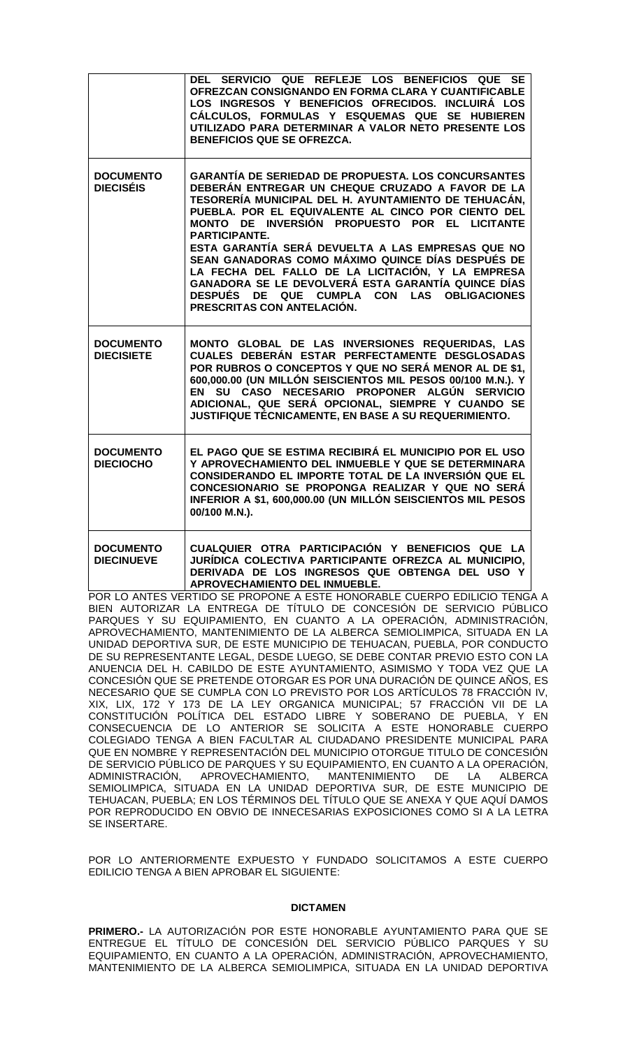|                                       | DEL SERVICIO QUE REFLEJE LOS BENEFICIOS QUE SE<br>OFREZCAN CONSIGNANDO EN FORMA CLARA Y CUANTIFICABLE<br>LOS INGRESOS Y BENEFICIOS OFRECIDOS. INCLUIRÁ LOS<br>CÁLCULOS, FORMULAS Y ESQUEMAS QUE SE HUBIEREN<br>UTILIZADO PARA DETERMINAR A VALOR NETO PRESENTE LOS<br><b>BENEFICIOS QUE SE OFREZCA.</b>                                                                                                                                                                                                                                                                                                |
|---------------------------------------|--------------------------------------------------------------------------------------------------------------------------------------------------------------------------------------------------------------------------------------------------------------------------------------------------------------------------------------------------------------------------------------------------------------------------------------------------------------------------------------------------------------------------------------------------------------------------------------------------------|
| <b>DOCUMENTO</b><br><b>DIECISÉIS</b>  | <b>GARANTÍA DE SERIEDAD DE PROPUESTA. LOS CONCURSANTES</b><br>DEBERÁN ENTREGAR UN CHEQUE CRUZADO A FAVOR DE LA<br>TESORERÍA MUNICIPAL DEL H. AYUNTAMIENTO DE TEHUACÁN,<br>PUEBLA. POR EL EQUIVALENTE AL CINCO POR CIENTO DEL<br>MONTO DE INVERSIÓN PROPUESTO POR EL LICITANTE<br><b>PARTICIPANTE.</b><br>ESTA GARANTÍA SERÁ DEVUELTA A LAS EMPRESAS QUE NO<br>SEAN GANADORAS COMO MÁXIMO QUINCE DÍAS DESPUÉS DE<br>LA FECHA DEL FALLO DE LA LICITACIÓN, Y LA EMPRESA<br>GANADORA SE LE DEVOLVERÁ ESTA GARANTÍA QUINCE DÍAS<br>DESPUÉS DE QUE CUMPLA CON LAS OBLIGACIONES<br>PRESCRITAS CON ANTELACIÓN. |
| <b>DOCUMENTO</b><br><b>DIECISIETE</b> | MONTO GLOBAL DE LAS INVERSIONES REQUERIDAS, LAS<br>CUALES DEBERÁN ESTAR PERFECTAMENTE DESGLOSADAS<br>POR RUBROS O CONCEPTOS Y QUE NO SERÁ MENOR AL DE \$1,<br>600,000.00 (UN MILLÓN SEISCIENTOS MIL PESOS 00/100 M.N.). Y<br>SU CASO NECESARIO PROPONER ALGÚN SERVICIO<br>EN<br>ADICIONAL, QUE SERÁ OPCIONAL, SIEMPRE Y CUANDO SE<br>JUSTIFIQUE TÉCNICAMENTE, EN BASE A SU REQUERIMIENTO.                                                                                                                                                                                                              |
| <b>DOCUMENTO</b><br><b>DIECIOCHO</b>  | EL PAGO QUE SE ESTIMA RECIBIRÁ EL MUNICIPIO POR EL USO<br>Y APROVECHAMIENTO DEL INMUEBLE Y QUE SE DETERMINARA<br>CONSIDERANDO EL IMPORTE TOTAL DE LA INVERSIÓN QUE EL<br>CONCESIONARIO SE PROPONGA REALIZAR Y QUE NO SERÁ<br>INFERIOR A \$1, 600,000.00 (UN MILLÓN SEISCIENTOS MIL PESOS<br>00/100 M.N.).                                                                                                                                                                                                                                                                                              |
| <b>DOCUMENTO</b><br><b>DIECINUEVE</b> | CUALQUIER OTRA PARTICIPACIÓN Y BENEFICIOS QUE LA<br>JURÍDICA COLECTIVA PARTICIPANTE OFREZCA AL MUNICIPIO,<br>DERIVADA DE LOS INGRESOS QUE OBTENGA DEL USO Y<br>APROVECHAMIENTO DEL INMUEBLE.<br>POR LO ANTES VERTIDO SE PROPONE A ESTE HONORARI E CLIERPO EDILICIO TENGA                                                                                                                                                                                                                                                                                                                               |

VERTIDO SE PROPONE A ESTE HONORABLE CUERPO BIEN AUTORIZAR LA ENTREGA DE TÍTULO DE CONCESIÓN DE SERVICIO PÚBLICO PARQUES Y SU EQUIPAMIENTO, EN CUANTO A LA OPERACIÓN, ADMINISTRACIÓN, APROVECHAMIENTO, MANTENIMIENTO DE LA ALBERCA SEMIOLIMPICA, SITUADA EN LA UNIDAD DEPORTIVA SUR, DE ESTE MUNICIPIO DE TEHUACAN, PUEBLA, POR CONDUCTO DE SU REPRESENTANTE LEGAL, DESDE LUEGO, SE DEBE CONTAR PREVIO ESTO CON LA ANUENCIA DEL H. CABILDO DE ESTE AYUNTAMIENTO, ASIMISMO Y TODA VEZ QUE LA CONCESIÓN QUE SE PRETENDE OTORGAR ES POR UNA DURACIÓN DE QUINCE AÑOS, ES NECESARIO QUE SE CUMPLA CON LO PREVISTO POR LOS ARTÍCULOS 78 FRACCIÓN IV, XIX, LIX, 172 Y 173 DE LA LEY ORGANICA MUNICIPAL; 57 FRACCIÓN VII DE LA CONSTITUCIÓN POLÍTICA DEL ESTADO LIBRE Y SOBERANO DE PUEBLA, Y EN CONSECUENCIA DE LO ANTERIOR SE SOLICITA A ESTE HONORABLE CUERPO COLEGIADO TENGA A BIEN FACULTAR AL CIUDADANO PRESIDENTE MUNICIPAL PARA QUE EN NOMBRE Y REPRESENTACIÓN DEL MUNICIPIO OTORGUE TITULO DE CONCESIÓN DE SERVICIO PÚBLICO DE PARQUES Y SU EQUIPAMIENTO, EN CUANTO A LA OPERACIÓN,<br>ADMINISTRACIÓN, APROVECHAMIENTO, MANTENIMIENTO DE LA ALBERCA ADMINISTRACIÓN, APROVECHAMIENTO, MANTENIMIENTO DE LA ALBERCA SEMIOLIMPICA, SITUADA EN LA UNIDAD DEPORTIVA SUR, DE ESTE MUNICIPIO DE TEHUACAN, PUEBLA; EN LOS TÉRMINOS DEL TÍTULO QUE SE ANEXA Y QUE AQUÍ DAMOS POR REPRODUCIDO EN OBVIO DE INNECESARIAS EXPOSICIONES COMO SI A LA LETRA SE INSERTARE.

POR LO ANTERIORMENTE EXPUESTO Y FUNDADO SOLICITAMOS A ESTE CUERPO EDILICIO TENGA A BIEN APROBAR EL SIGUIENTE:

#### **DICTAMEN**

**PRIMERO.-** LA AUTORIZACIÓN POR ESTE HONORABLE AYUNTAMIENTO PARA QUE SE ENTREGUE EL TÍTULO DE CONCESIÓN DEL SERVICIO PÚBLICO PARQUES Y SU EQUIPAMIENTO, EN CUANTO A LA OPERACIÓN, ADMINISTRACIÓN, APROVECHAMIENTO, MANTENIMIENTO DE LA ALBERCA SEMIOLIMPICA, SITUADA EN LA UNIDAD DEPORTIVA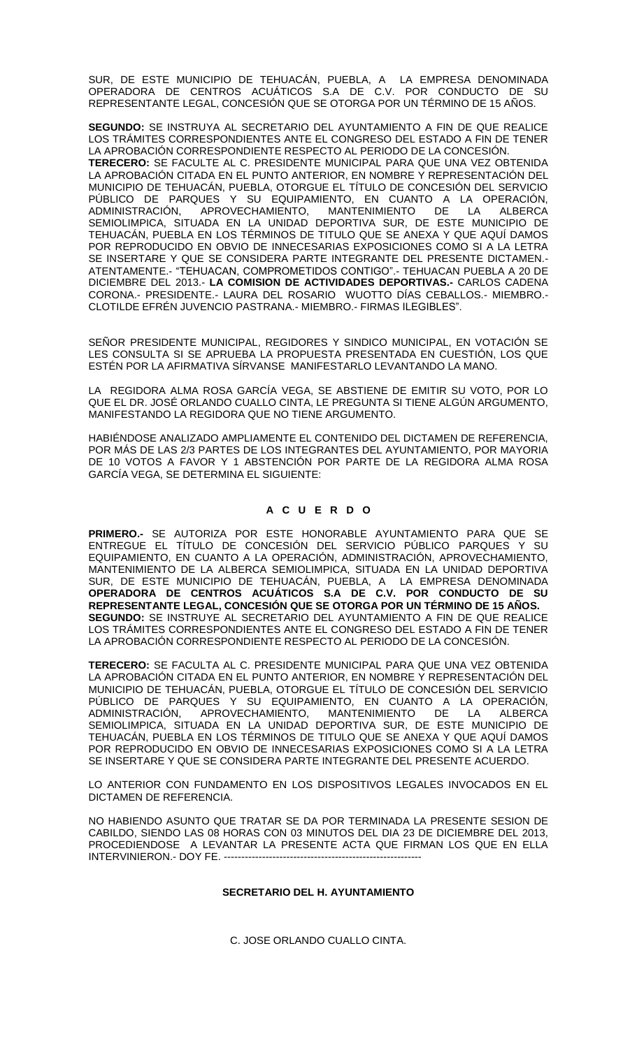SUR, DE ESTE MUNICIPIO DE TEHUACÁN, PUEBLA, A LA EMPRESA DENOMINADA OPERADORA DE CENTROS ACUÁTICOS S.A DE C.V. POR CONDUCTO DE SU REPRESENTANTE LEGAL, CONCESIÓN QUE SE OTORGA POR UN TÉRMINO DE 15 AÑOS.

**SEGUNDO:** SE INSTRUYA AL SECRETARIO DEL AYUNTAMIENTO A FIN DE QUE REALICE LOS TRÁMITES CORRESPONDIENTES ANTE EL CONGRESO DEL ESTADO A FIN DE TENER LA APROBACIÓN CORRESPONDIENTE RESPECTO AL PERIODO DE LA CONCESIÓN. **TERECERO:** SE FACULTE AL C. PRESIDENTE MUNICIPAL PARA QUE UNA VEZ OBTENIDA LA APROBACIÓN CITADA EN EL PUNTO ANTERIOR, EN NOMBRE Y REPRESENTACIÓN DEL MUNICIPIO DE TEHUACÁN, PUEBLA, OTORGUE EL TÍTULO DE CONCESIÓN DEL SERVICIO PÚBLICO DE PARQUES Y SU EQUIPAMIENTO, EN CUANTO A LA OPERACIÓN,<br>ADMINISTRACIÓN, APROVECHAMIENTO, MANTENIMIENTO DE LA ALBERCA MANTENIMIENTO DE LA ALBERCA SEMIOLIMPICA, SITUADA EN LA UNIDAD DEPORTIVA SUR, DE ESTE MUNICIPIO DE TEHUACÁN, PUEBLA EN LOS TÉRMINOS DE TITULO QUE SE ANEXA Y QUE AQUÍ DAMOS POR REPRODUCIDO EN OBVIO DE INNECESARIAS EXPOSICIONES COMO SI A LA LETRA SE INSERTARE Y QUE SE CONSIDERA PARTE INTEGRANTE DEL PRESENTE DICTAMEN.- ATENTAMENTE.- "TEHUACAN, COMPROMETIDOS CONTIGO".- TEHUACAN PUEBLA A 20 DE DICIEMBRE DEL 2013.- **LA COMISION DE ACTIVIDADES DEPORTIVAS.-** CARLOS CADENA CORONA.- PRESIDENTE.- LAURA DEL ROSARIO WUOTTO DÍAS CEBALLOS.- MIEMBRO.- CLOTILDE EFRÉN JUVENCIO PASTRANA.- MIEMBRO.- FIRMAS ILEGIBLES".

SEÑOR PRESIDENTE MUNICIPAL, REGIDORES Y SINDICO MUNICIPAL, EN VOTACIÓN SE LES CONSULTA SI SE APRUEBA LA PROPUESTA PRESENTADA EN CUESTIÓN, LOS QUE ESTÉN POR LA AFIRMATIVA SÍRVANSE MANIFESTARLO LEVANTANDO LA MANO.

LA REGIDORA ALMA ROSA GARCÍA VEGA, SE ABSTIENE DE EMITIR SU VOTO, POR LO QUE EL DR. JOSÉ ORLANDO CUALLO CINTA, LE PREGUNTA SI TIENE ALGÚN ARGUMENTO, MANIFESTANDO LA REGIDORA QUE NO TIENE ARGUMENTO.

HABIÉNDOSE ANALIZADO AMPLIAMENTE EL CONTENIDO DEL DICTAMEN DE REFERENCIA, POR MÁS DE LAS 2/3 PARTES DE LOS INTEGRANTES DEL AYUNTAMIENTO, POR MAYORIA DE 10 VOTOS A FAVOR Y 1 ABSTENCIÓN POR PARTE DE LA REGIDORA ALMA ROSA GARCÍA VEGA, SE DETERMINA EL SIGUIENTE:

## **A C U E R D O**

**PRIMERO.-** SE AUTORIZA POR ESTE HONORABLE AYUNTAMIENTO PARA QUE SE ENTREGUE EL TÍTULO DE CONCESIÓN DEL SERVICIO PÚBLICO PARQUES Y SU EQUIPAMIENTO, EN CUANTO A LA OPERACIÓN, ADMINISTRACIÓN, APROVECHAMIENTO, MANTENIMIENTO DE LA ALBERCA SEMIOLIMPICA, SITUADA EN LA UNIDAD DEPORTIVA SUR, DE ESTE MUNICIPIO DE TEHUACÁN, PUEBLA, A LA EMPRESA DENOMINADA **OPERADORA DE CENTROS ACUÁTICOS S.A DE C.V. POR CONDUCTO DE SU REPRESENTANTE LEGAL, CONCESIÓN QUE SE OTORGA POR UN TÉRMINO DE 15 AÑOS. SEGUNDO:** SE INSTRUYE AL SECRETARIO DEL AYUNTAMIENTO A FIN DE QUE REALICE LOS TRÁMITES CORRESPONDIENTES ANTE EL CONGRESO DEL ESTADO A FIN DE TENER LA APROBACIÓN CORRESPONDIENTE RESPECTO AL PERIODO DE LA CONCESIÓN.

**TERECERO:** SE FACULTA AL C. PRESIDENTE MUNICIPAL PARA QUE UNA VEZ OBTENIDA LA APROBACIÓN CITADA EN EL PUNTO ANTERIOR, EN NOMBRE Y REPRESENTACIÓN DEL MUNICIPIO DE TEHUACÁN, PUEBLA, OTORGUE EL TÍTULO DE CONCESIÓN DEL SERVICIO PÚBLICO DE PARQUES Y SU EQUIPAMIENTO, EN CUANTO A LA OPERACIÓN,<br>ADMINISTRACIÓN, APROVECHAMIENTO, MANTENIMIENTO DE LA ALBERCA ADMINISTRACIÓN, APROVECHAMIENTO, MANTENIMIENTO DE LA ALBERCA SEMIOLIMPICA, SITUADA EN LA UNIDAD DEPORTIVA SUR, DE ESTE MUNICIPIO DE TEHUACÁN, PUEBLA EN LOS TÉRMINOS DE TITULO QUE SE ANEXA Y QUE AQUÍ DAMOS POR REPRODUCIDO EN OBVIO DE INNECESARIAS EXPOSICIONES COMO SI A LA LETRA SE INSERTARE Y QUE SE CONSIDERA PARTE INTEGRANTE DEL PRESENTE ACUERDO.

LO ANTERIOR CON FUNDAMENTO EN LOS DISPOSITIVOS LEGALES INVOCADOS EN EL DICTAMEN DE REFERENCIA.

NO HABIENDO ASUNTO QUE TRATAR SE DA POR TERMINADA LA PRESENTE SESION DE CABILDO, SIENDO LAS 08 HORAS CON 03 MINUTOS DEL DIA 23 DE DICIEMBRE DEL 2013, PROCEDIENDOSE A LEVANTAR LA PRESENTE ACTA QUE FIRMAN LOS QUE EN ELLA INTERVINIERON.- DOY FE. -------

## **SECRETARIO DEL H. AYUNTAMIENTO**

C. JOSE ORLANDO CUALLO CINTA.